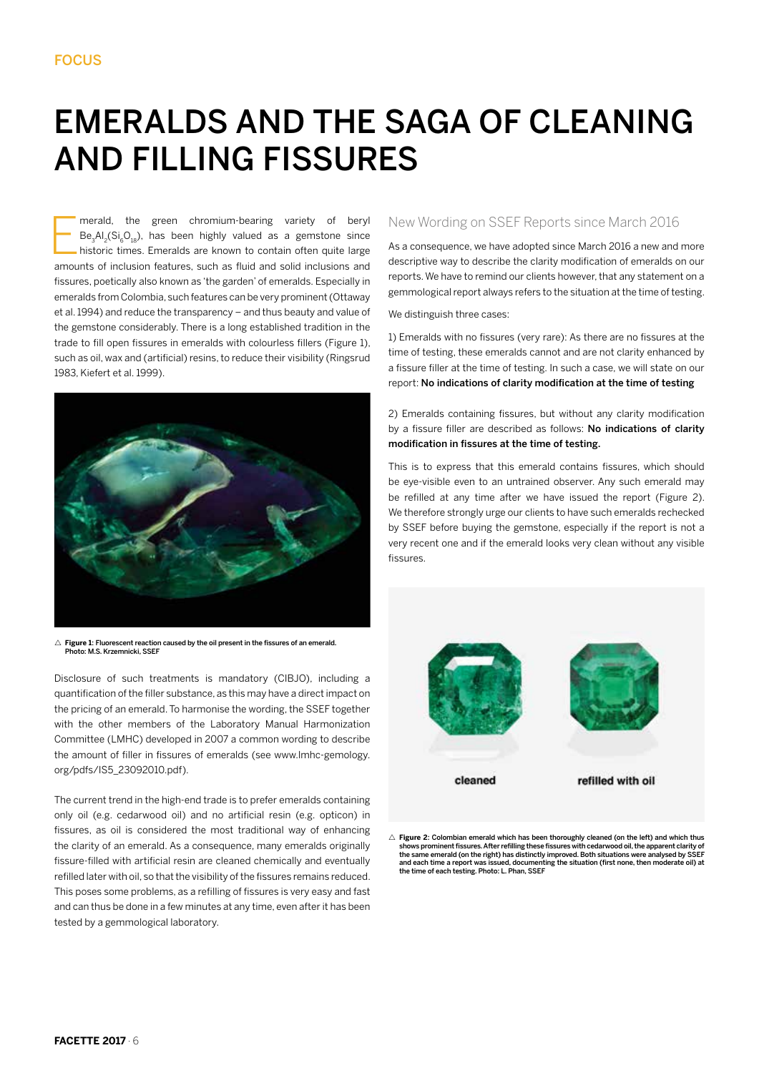## EMERALDS AND THE SAGA OF CLEANING AND FILLING FISSURES

E merald, the green chromium-bearing variety of beryl  $Be_3Al_3(Si_6O_{18})$ , has been highly valued as a gemstone since historic times. Emeralds are known to contain often quite large amounts of inclusion features, such as fluid and solid inclusions and fissures, poetically also known as 'the garden' of emeralds. Especially in emeralds from Colombia, such features can be very prominent (Ottaway et al. 1994) and reduce the transparency – and thus beauty and value of the gemstone considerably. There is a long established tradition in the trade to fill open fissures in emeralds with colourless fillers (Figure 1), such as oil, wax and (artificial) resins, to reduce their visibility (Ringsrud 1983, Kiefert et al. 1999).



 $\triangle$  **Figure 1:** Fluorescent reaction caused by the oil present in the fissures of an emerald.<br>Photo: M.S. Krzemnicki, SSEF

Disclosure of such treatments is mandatory (CIBJO), including a quantification of the filler substance, as this may have a direct impact on the pricing of an emerald. To harmonise the wording, the SSEF together with the other members of the Laboratory Manual Harmonization Committee (LMHC) developed in 2007 a common wording to describe the amount of filler in fissures of emeralds (see www.lmhc-gemology. org/pdfs/IS5\_23092010.pdf).

The current trend in the high-end trade is to prefer emeralds containing only oil (e.g. cedarwood oil) and no artificial resin (e.g. opticon) in fissures, as oil is considered the most traditional way of enhancing the clarity of an emerald. As a consequence, many emeralds originally fissure-filled with artificial resin are cleaned chemically and eventually refilled later with oil, so that the visibility of the fissures remains reduced. This poses some problems, as a refilling of fissures is very easy and fast and can thus be done in a few minutes at any time, even after it has been tested by a gemmological laboratory.

## New Wording on SSEF Reports since March 2016

As a consequence, we have adopted since March 2016 a new and more descriptive way to describe the clarity modification of emeralds on our reports. We have to remind our clients however, that any statement on a gemmological report always refers to the situation at the time of testing.

We distinguish three cases:

1) Emeralds with no fissures (very rare): As there are no fissures at the time of testing, these emeralds cannot and are not clarity enhanced by a fissure filler at the time of testing. In such a case, we will state on our report: No indications of clarity modification at the time of testing

2) Emeralds containing fissures, but without any clarity modification by a fissure filler are described as follows: No indications of clarity modification in fissures at the time of testing.

This is to express that this emerald contains fissures, which should be eye-visible even to an untrained observer. Any such emerald may be refilled at any time after we have issued the report (Figure 2). We therefore strongly urge our clients to have such emeralds rechecked by SSEF before buying the gemstone, especially if the report is not a very recent one and if the emerald looks very clean without any visible fissures.



 $\triangle$  Figure 2: Colombian emerald which has been thoroughly cleaned (on the left) and which thus shows prominent fissures. After refilling these fissures with cedarwood oil, the apparent clarity of the same emerald (on the right) has distinctly improved. Both situations were analysed by SSEF and each time a report was issued, documenting the situation (first none, then moderate oil) at the time of each testing. Photo: L. Phan, SSEF